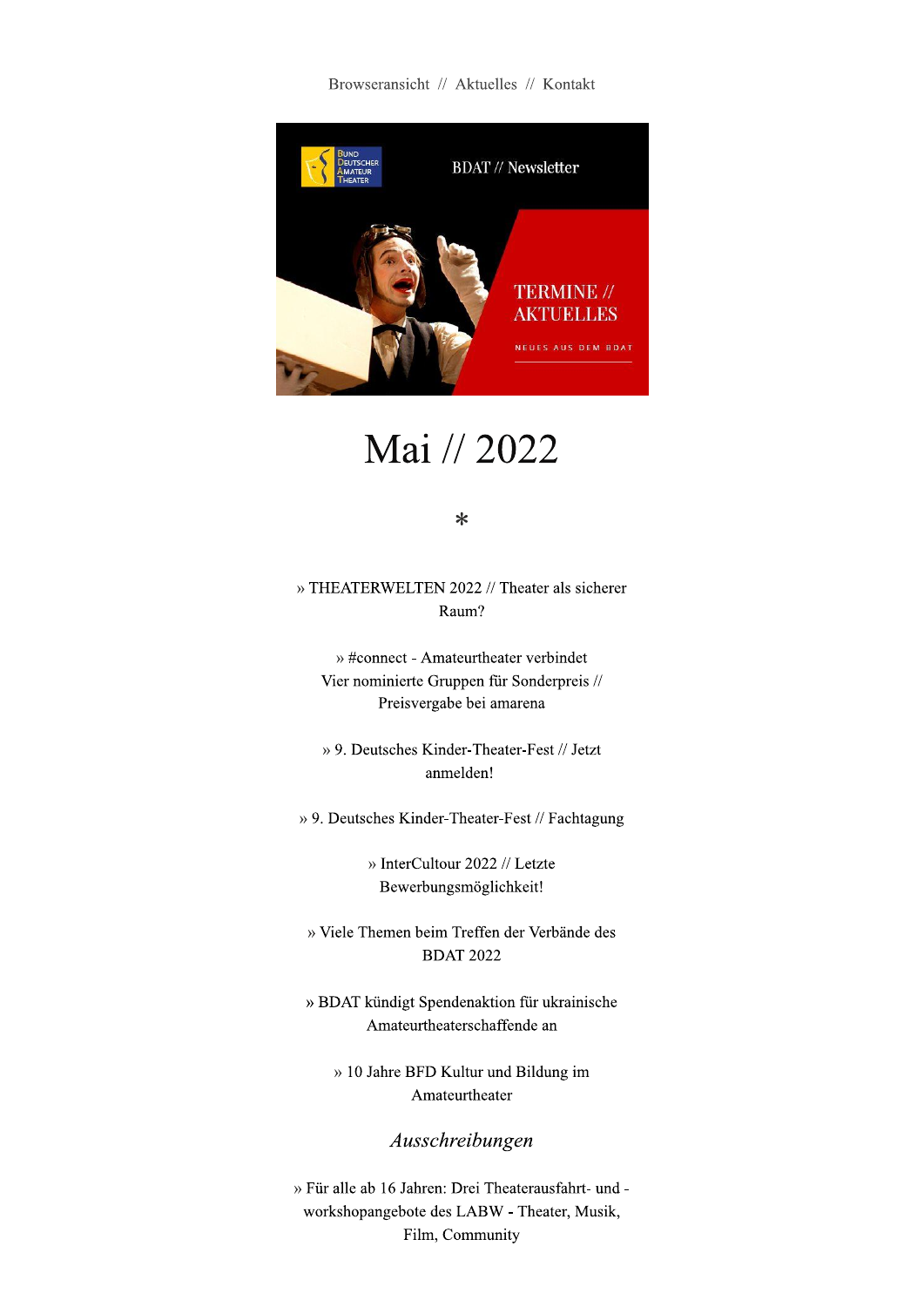Browseransicht // Aktuelles // Kontakt



Mai // 2022

 $\ast$ 

» THEATERWELTEN 2022 // Theater als sicherer Raum?

» #connect - Amateurtheater verbindet Vier nominierte Gruppen für Sonderpreis // Preisvergabe bei amarena

» 9. Deutsches Kinder-Theater-Fest // Jetzt anmelden!

» 9. Deutsches Kinder-Theater-Fest // Fachtagung

» InterCultour 2022 // Letzte Bewerbungsmöglichkeit!

» Viele Themen beim Treffen der Verbände des **BDAT 2022** 

» BDAT kündigt Spendenaktion für ukrainische Amateurtheaterschaffende an

» 10 Jahre BFD Kultur und Bildung im Amateurtheater

Ausschreibungen

» Für alle ab 16 Jahren: Drei Theaterausfahrt- und workshopangebote des LABW - Theater, Musik, Film, Community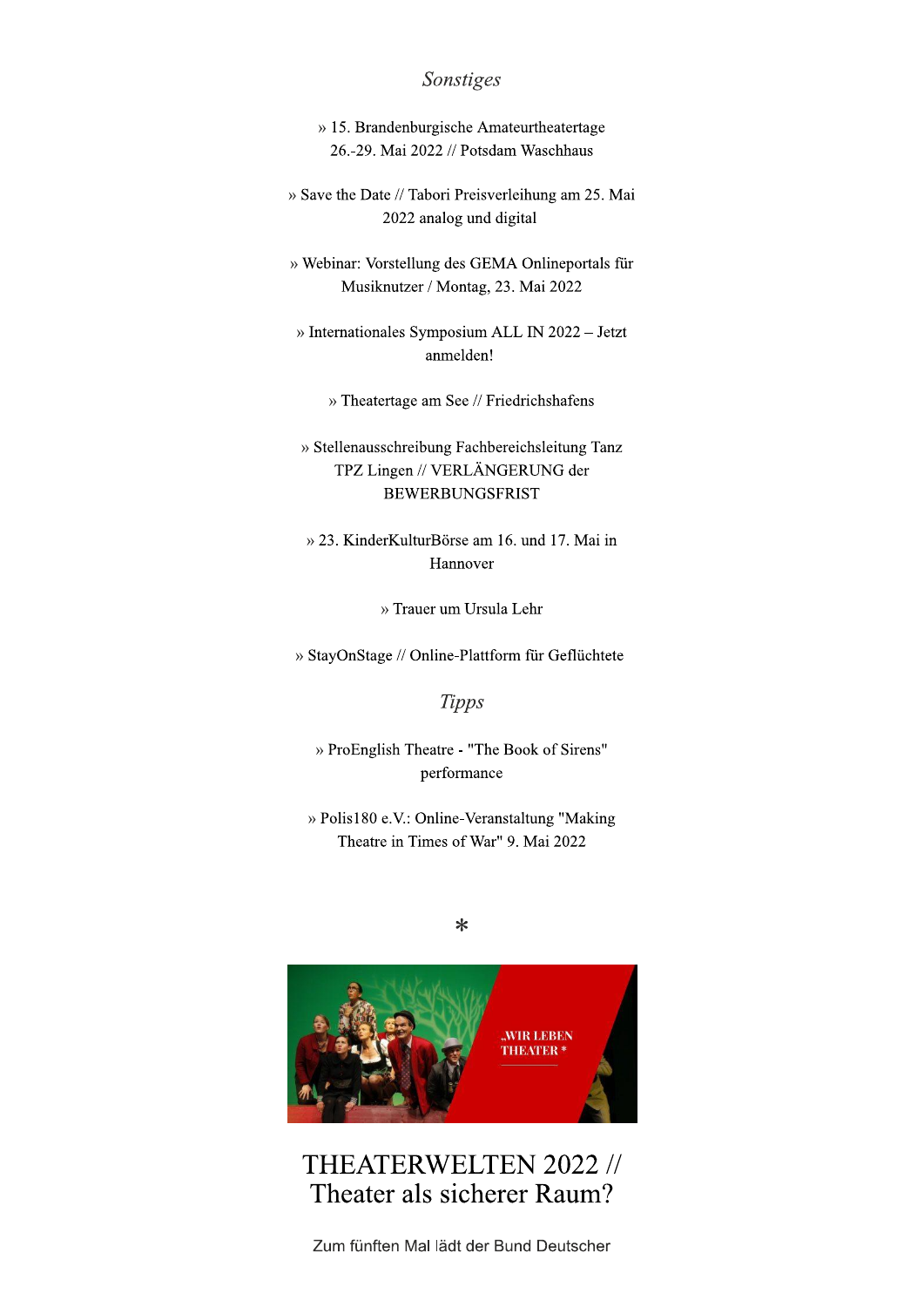#### Sonstiges

- » 15. Brandenburgische Amateurtheatertage 26.-29. Mai 2022 // Potsdam Waschhaus
- » Save the Date // Tabori Preisverleihung am 25. Mai 2022 analog und digital
- » Webinar: Vorstellung des GEMA Onlineportals für Musiknutzer / Montag, 23. Mai 2022
- » Internationales Symposium ALL IN 2022 Jetzt anmelden!
	- » Theatertage am See // Friedrichshafens
- » Stellenausschreibung Fachbereichsleitung Tanz TPZ Lingen // VERLÄNGERUNG der **BEWERBUNGSFRIST**
- » 23. KinderKulturBörse am 16. und 17. Mai in Hannover
	- » Trauer um Ursula Lehr
- » StayOnStage // Online-Plattform für Geflüchtete

**Tipps** 

» ProEnglish Theatre - "The Book of Sirens" performance

» Polis180 e.V.: Online-Veranstaltung "Making Theatre in Times of War" 9. Mai 2022

 $\ast$ 



THEATERWELTEN 2022 // Theater als sicherer Raum?

Zum fünften Mal lädt der Bund Deutscher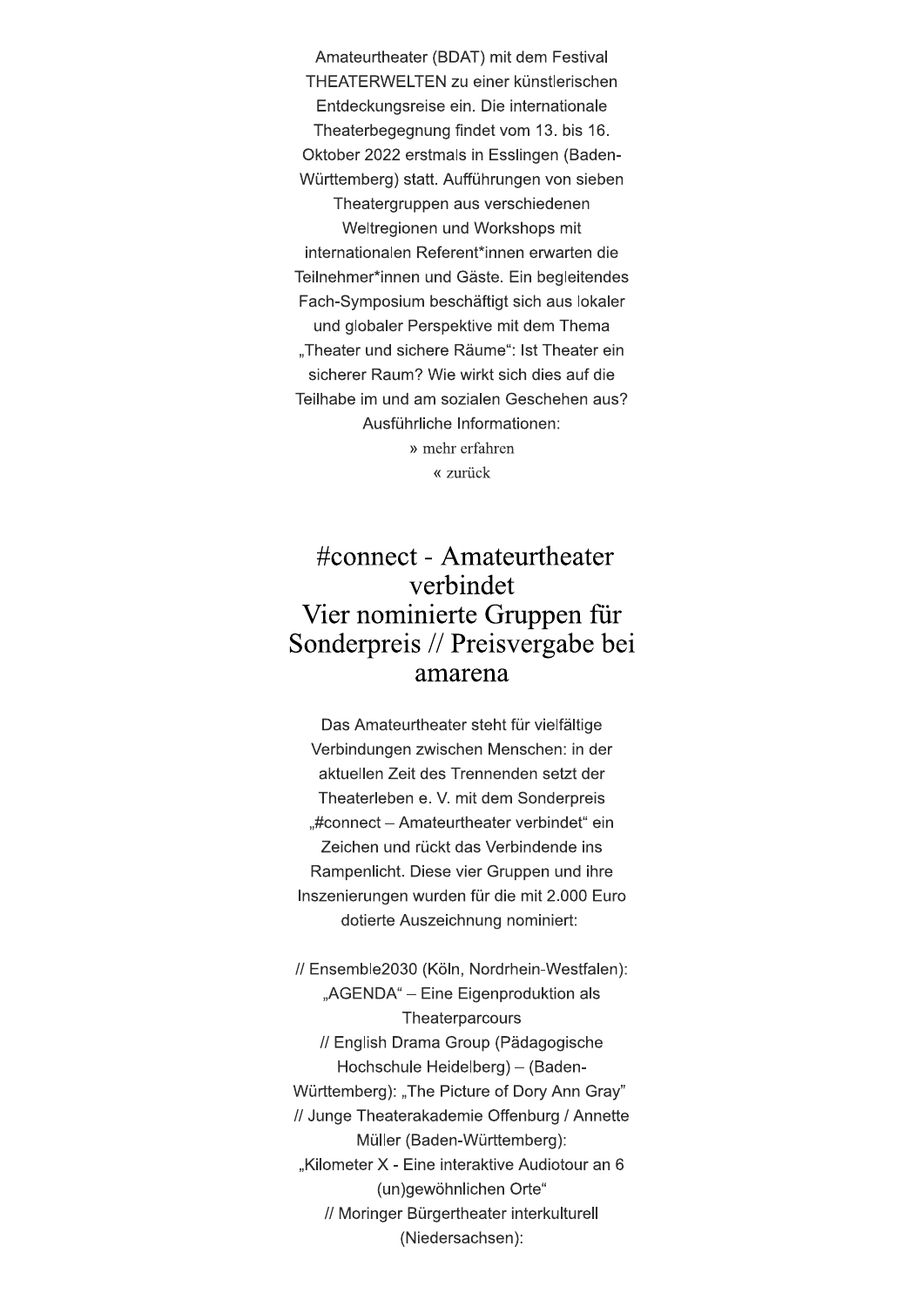Amateurtheater (BDAT) mit dem Festival THEATERWELTEN zu einer künstlerischen Entdeckungsreise ein. Die internationale Theaterbegegnung findet vom 13. bis 16. Oktober 2022 erstmals in Esslingen (Baden-Württemberg) statt. Aufführungen von sieben Theatergruppen aus verschiedenen Weltregionen und Workshops mit internationalen Referent\*innen erwarten die Teilnehmer\*innen und Gäste. Ein begleitendes Fach-Symposium beschäftigt sich aus lokaler und globaler Perspektive mit dem Thema "Theater und sichere Räume": Ist Theater ein sicherer Raum? Wie wirkt sich dies auf die Teilhabe im und am sozialen Geschehen aus? Ausführliche Informationen: » mehr erfahren « zurück

### #connect - Amateurtheater verbindet Vier nominierte Gruppen für Sonderpreis // Preisvergabe bei amarena

Das Amateurtheater steht für vielfältige Verbindungen zwischen Menschen: in der aktuellen Zeit des Trennenden setzt der Theaterleben e. V. mit dem Sonderpreis "#connect - Amateurtheater verbindet" ein Zeichen und rückt das Verbindende ins Rampenlicht. Diese vier Gruppen und ihre Inszenierungen wurden für die mit 2.000 Euro dotierte Auszeichnung nominiert:

// Ensemble2030 (Köln, Nordrhein-Westfalen): "AGENDA" - Eine Eigenproduktion als Theaterparcours // English Drama Group (Pädagogische Hochschule Heidelberg) - (Baden-Württemberg): "The Picture of Dory Ann Gray" // Junge Theaterakademie Offenburg / Annette Müller (Baden-Württemberg): "Kilometer X - Eine interaktive Audiotour an 6 (un)gewöhnlichen Orte" // Moringer Bürgertheater interkulturell (Niedersachsen):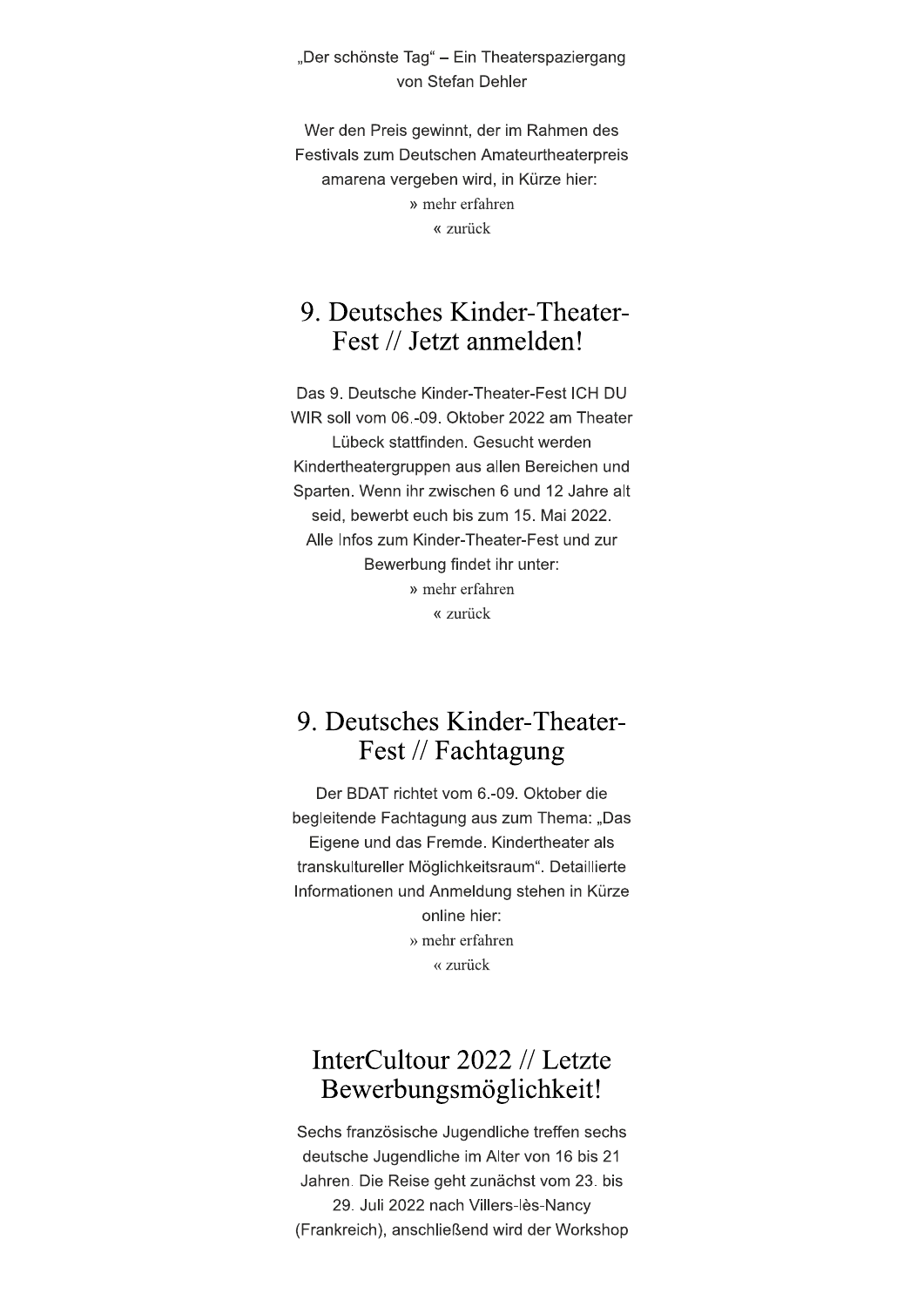"Der schönste Tag" – Ein Theaterspaziergang von Stefan Dehler

Wer den Preis gewinnt, der im Rahmen des Festivals zum Deutschen Amateurtheaterpreis amarena vergeben wird, in Kürze hier: » mehr erfahren « zurück

# 9. Deutsches Kinder-Theater-Fest // Jetzt anmelden!

Das 9. Deutsche Kinder-Theater-Fest ICH DU WIR soll vom 06,-09. Oktober 2022 am Theater Lübeck stattfinden. Gesucht werden Kindertheatergruppen aus allen Bereichen und Sparten. Wenn ihr zwischen 6 und 12 Jahre alt seid, bewerbt euch bis zum 15. Mai 2022. Alle Infos zum Kinder-Theater-Fest und zur Bewerbung findet ihr unter: » mehr erfahren « zurück

#### 9. Deutsches Kinder-Theater-Fest // Fachtagung

Der BDAT richtet vom 6.-09. Oktober die begleitende Fachtagung aus zum Thema: "Das Eigene und das Fremde. Kindertheater als transkultureller Möglichkeitsraum". Detaillierte Informationen und Anmeldung stehen in Kürze online hier: » mehr erfahren « zurück

# InterCultour 2022 // Letzte Bewerbungsmöglichkeit!

Sechs französische Jugendliche treffen sechs deutsche Jugendliche im Alter von 16 bis 21 Jahren. Die Reise geht zunächst vom 23. bis 29. Juli 2022 nach Villers-lès-Nancy (Frankreich), anschließend wird der Workshop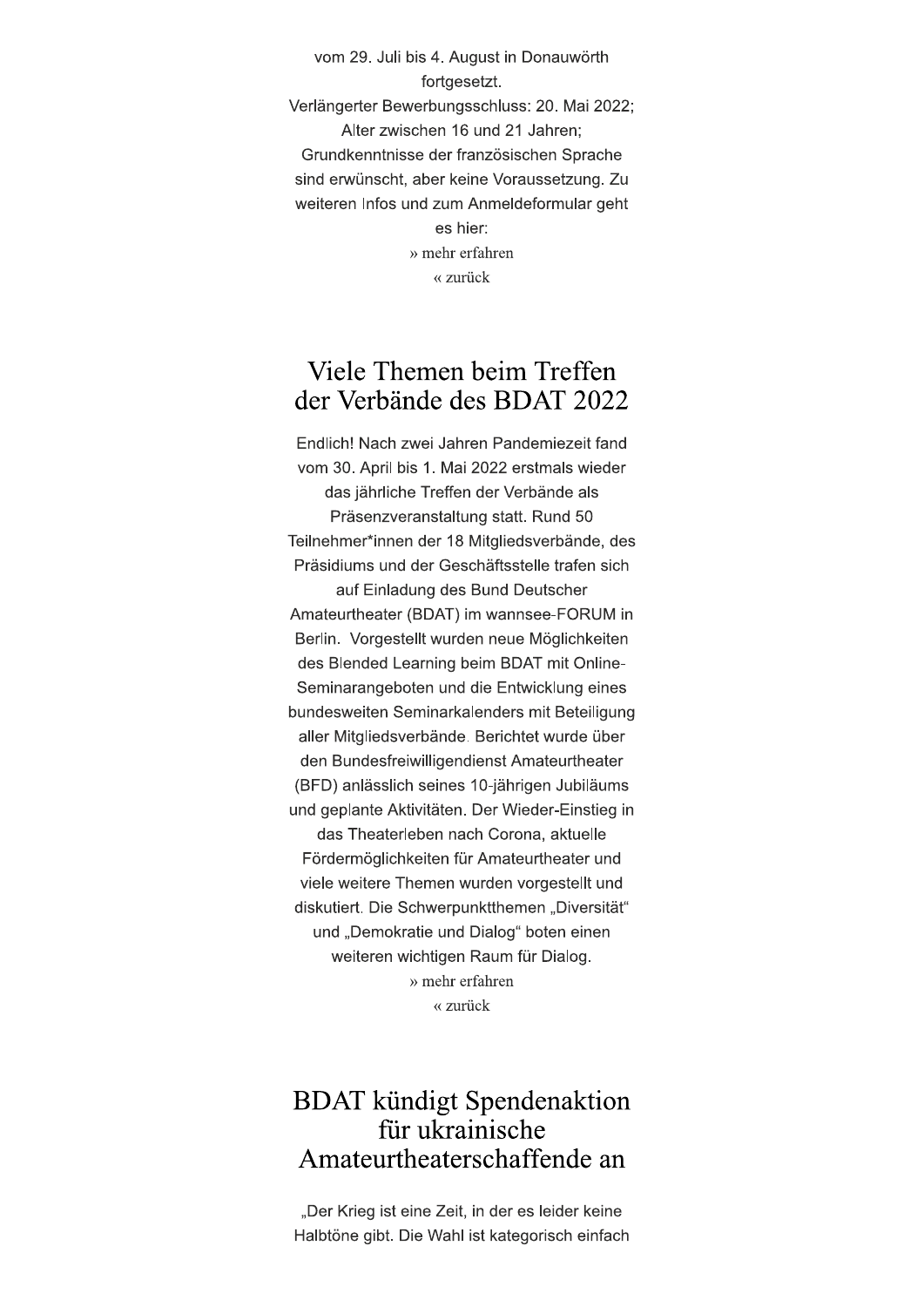vom 29. Juli bis 4. August in Donauwörth fortgesetzt. Verlängerter Bewerbungsschluss: 20. Mai 2022; Alter zwischen 16 und 21 Jahren: Grundkenntnisse der französischen Sprache sind erwünscht, aber keine Voraussetzung. Zu weiteren Infos und zum Anmeldeformular geht es hier: » mehr erfahren « zurück

### Viele Themen beim Treffen der Verbände des BDAT 2022

Endlich! Nach zwei Jahren Pandemiezeit fand vom 30. April bis 1. Mai 2022 erstmals wieder das jährliche Treffen der Verbände als Präsenzveranstaltung statt. Rund 50 Teilnehmer\*innen der 18 Mitgliedsverbände, des Präsidiums und der Geschäftsstelle trafen sich auf Einladung des Bund Deutscher Amateurtheater (BDAT) im wannsee-FORUM in Berlin. Vorgestellt wurden neue Möglichkeiten des Blended Learning beim BDAT mit Online-Seminarangeboten und die Entwicklung eines bundesweiten Seminarkalenders mit Beteiligung aller Mitgliedsverbände. Berichtet wurde über den Bundesfreiwilligendienst Amateurtheater (BFD) anlässlich seines 10-jährigen Jubiläums und geplante Aktivitäten. Der Wieder-Einstieg in das Theaterleben nach Corona, aktuelle Fördermöglichkeiten für Amateurtheater und viele weitere Themen wurden vorgestellt und diskutiert. Die Schwerpunktthemen "Diversität" und "Demokratie und Dialog" boten einen weiteren wichtigen Raum für Dialog. » mehr erfahren « zurück

### **BDAT** kündigt Spendenaktion für ukrainische Amateurtheaterschaffende an

"Der Krieg ist eine Zeit, in der es leider keine Halbtöne gibt. Die Wahl ist kategorisch einfach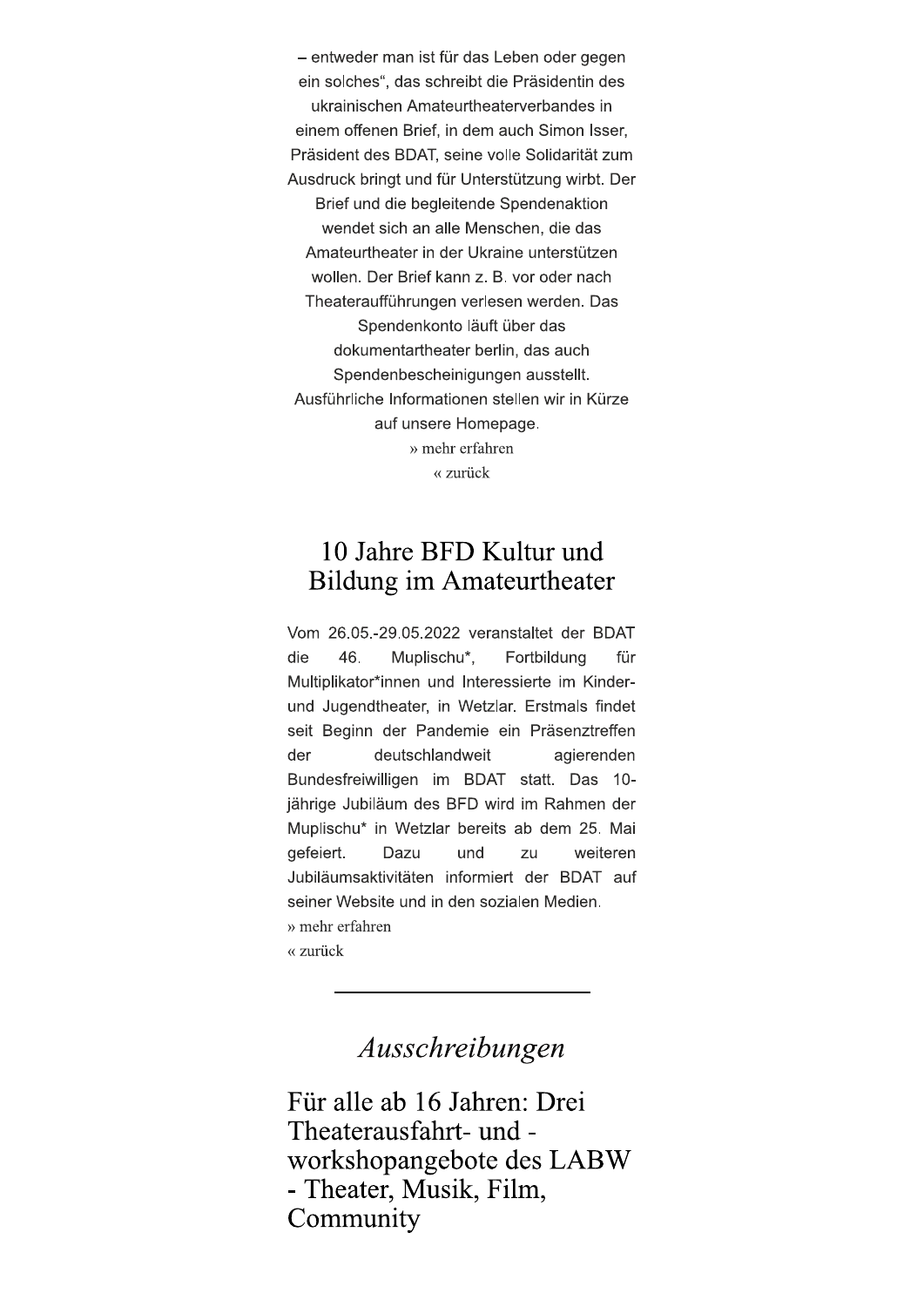- entweder man ist für das Leben oder gegen ein solches", das schreibt die Präsidentin des ukrainischen Amateurtheaterverbandes in einem offenen Brief, in dem auch Simon Isser. Präsident des BDAT, seine volle Solidarität zum Ausdruck bringt und für Unterstützung wirbt. Der Brief und die begleitende Spendenaktion wendet sich an alle Menschen, die das Amateurtheater in der Ukraine unterstützen wollen. Der Brief kann z. B. vor oder nach Theateraufführungen verlesen werden. Das Spendenkonto läuft über das dokumentartheater berlin, das auch Spendenbescheinigungen ausstellt. Ausführliche Informationen stellen wir in Kürze auf unsere Homepage. » mehr erfahren « zurück

#### 10 Jahre BFD Kultur und **Bildung im Amateurtheater**

Vom 26.05.-29.05.2022 veranstaltet der BDAT die 46. Muplischu\*, Fortbildung für Multiplikator\*innen und Interessierte im Kinderund Jugendtheater, in Wetzlar. Erstmals findet seit Beginn der Pandemie ein Präsenztreffen der deutschlandweit agierenden Bundesfreiwilligen im BDAT statt. Das 10jährige Jubiläum des BFD wird im Rahmen der Muplischu\* in Wetzlar bereits ab dem 25. Mai gefeiert. und weiteren Dazu zu Jubiläumsaktivitäten informiert der BDAT auf seiner Website und in den sozialen Medien. » mehr erfahren « zurück

# Ausschreibungen

Für alle ab 16 Jahren: Drei Theaterausfahrt- und workshopangebote des LABW - Theater, Musik, Film, Community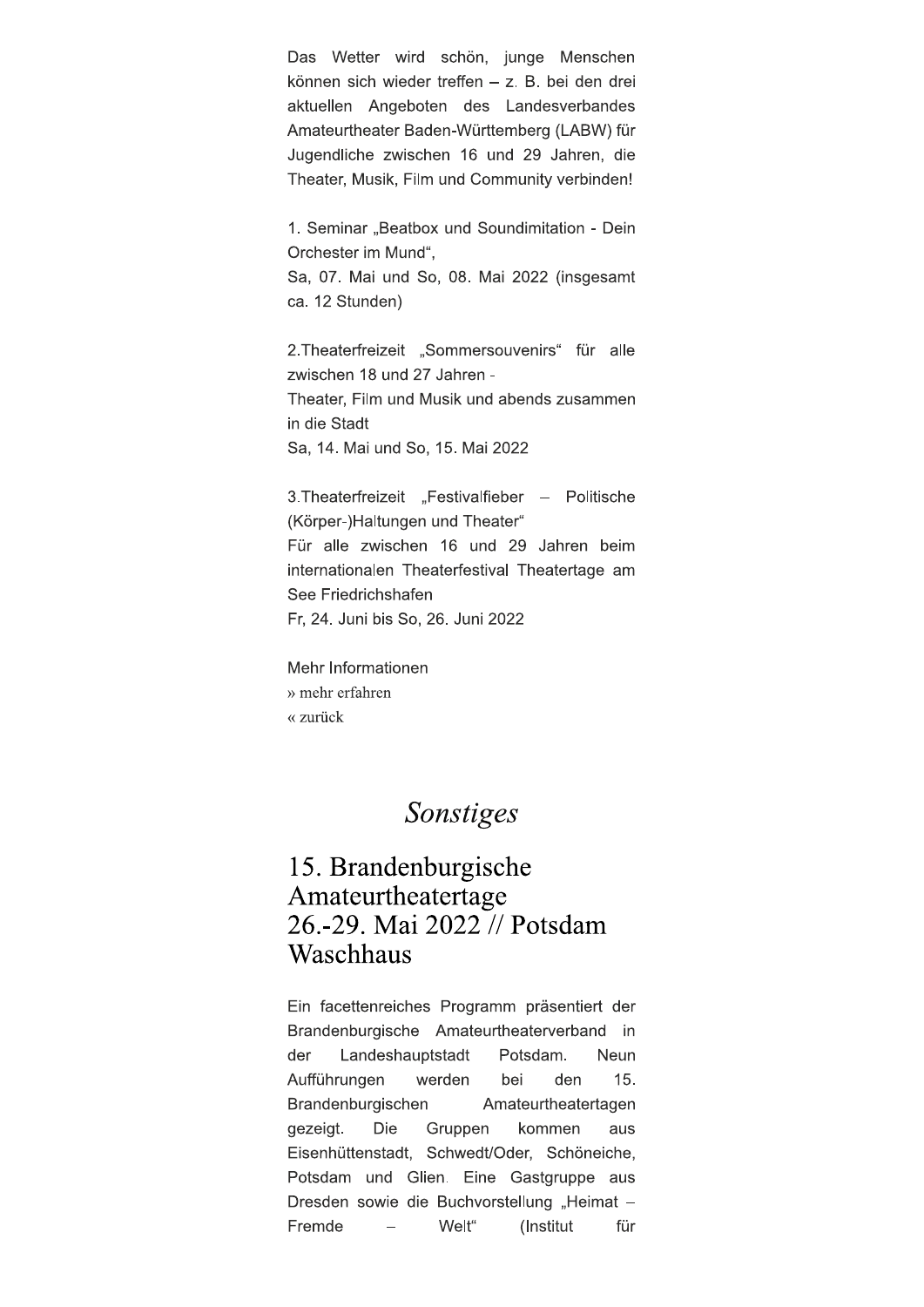Das Wetter wird schön, junge Menschen können sich wieder treffen - z. B. bei den drei aktuellen Angeboten des Landesverbandes Amateurtheater Baden-Württemberg (LABW) für Jugendliche zwischen 16 und 29 Jahren, die Theater, Musik, Film und Community verbinden!

1. Seminar "Beatbox und Soundimitation - Dein Orchester im Mund".

Sa, 07. Mai und So, 08. Mai 2022 (insgesamt ca. 12 Stunden)

2. Theaterfreizeit "Sommersouvenirs" für alle zwischen 18 und 27 Jahren -

Theater, Film und Musik und abends zusammen in die Stadt

Sa, 14. Mai und So, 15. Mai 2022

3. Theaterfreizeit "Festivalfieber – Politische (Körper-)Haltungen und Theater" Für alle zwischen 16 und 29 Jahren beim internationalen Theaterfestival Theatertage am See Friedrichshafen Fr, 24. Juni bis So, 26. Juni 2022

Mehr Informationen » mehr erfahren « zurück

### Sonstiges

### 15. Brandenburgische Amateurtheatertage 26.-29. Mai 2022 // Potsdam Waschhaus

Ein facettenreiches Programm präsentiert der Brandenburgische Amateurtheaterverband in der Landeshauptstadt Potsdam. Neun Aufführungen 15. werden bei den Brandenburgischen Amateurtheatertagen gezeigt. Die Gruppen kommen aus Eisenhüttenstadt, Schwedt/Oder, Schöneiche, Potsdam und Glien. Eine Gastgruppe aus Dresden sowie die Buchvorstellung "Heimat -Fremde Welt"  $\frac{1}{2}$ (Institut für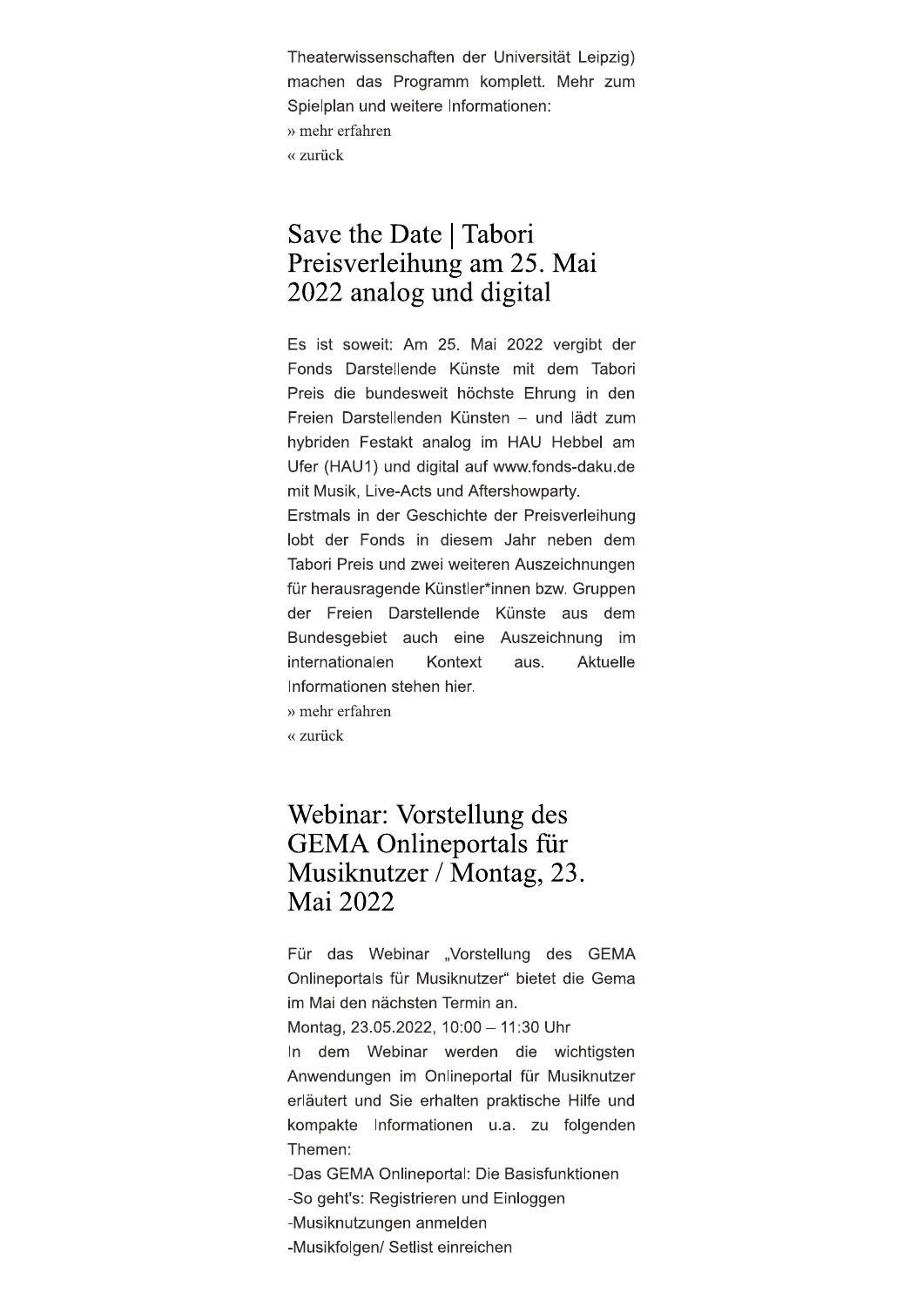Theaterwissenschaften der Universität Leipzig) machen das Programm komplett. Mehr zum Spielplan und weitere Informationen: » mehr erfahren « zurück

### Save the Date | Tabori Preisverleihung am 25. Mai 2022 analog und digital

Es ist soweit: Am 25. Mai 2022 vergibt der Fonds Darstellende Künste mit dem Tabori Preis die bundesweit höchste Ehrung in den Freien Darstellenden Künsten - und lädt zum hybriden Festakt analog im HAU Hebbel am Ufer (HAU1) und digital auf www.fonds-daku.de mit Musik, Live-Acts und Aftershowparty.

Erstmals in der Geschichte der Preisverleihung lobt der Fonds in diesem Jahr neben dem Tabori Preis und zwei weiteren Auszeichnungen für herausragende Künstler\*innen bzw. Gruppen der Freien Darstellende Künste aus dem Bundesgebiet auch eine Auszeichnung im internationalen Kontext aus. Aktuelle Informationen stehen hier.

» mehr erfahren

« zurück

### Webinar: Vorstellung des **GEMA Onlineportals für** Musiknutzer / Montag, 23. Mai 2022

Für das Webinar "Vorstellung des GEMA Onlineportals für Musiknutzer" bietet die Gema im Mai den nächsten Termin an.

Montag, 23.05.2022, 10:00 - 11:30 Uhr

In dem Webinar werden die wichtigsten Anwendungen im Onlineportal für Musiknutzer erläutert und Sie erhalten praktische Hilfe und kompakte Informationen u.a. zu folgenden Themen:

-Das GEMA Onlineportal: Die Basisfunktionen

-So geht's: Registrieren und Einloggen

-Musiknutzungen anmelden

-Musikfolgen/ Setlist einreichen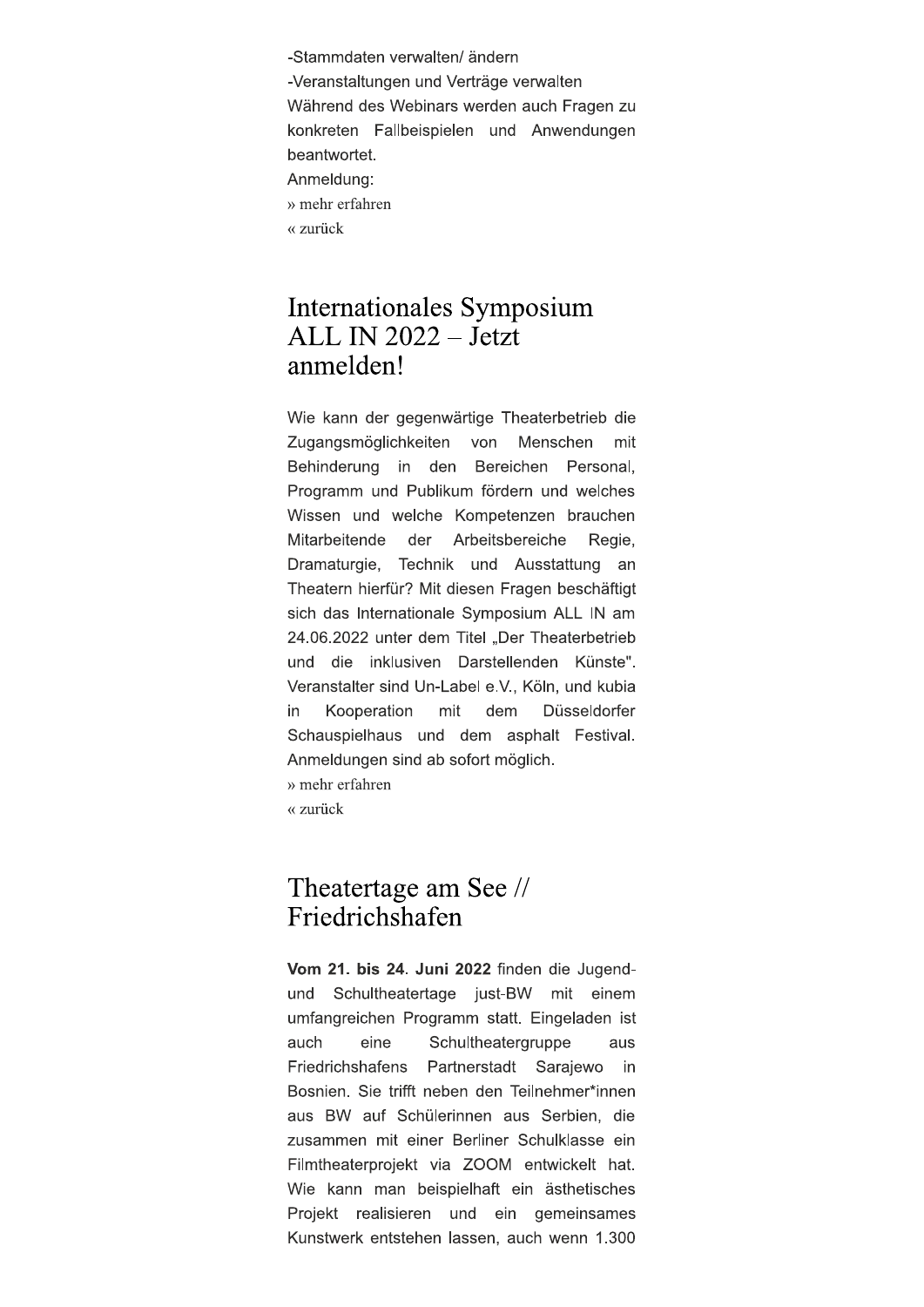-Stammdaten verwalten/ändern -Veranstaltungen und Verträge verwalten Während des Webinars werden auch Fragen zu konkreten Fallbeispielen und Anwendungen beantwortet. Anmeldung: » mehr erfahren « zurück

#### Internationales Symposium ALL IN 2022 – Jetzt anmelden!

Wie kann der gegenwärtige Theaterbetrieb die von Zugangsmöglichkeiten Menschen mit Behinderung in den Bereichen Personal. Programm und Publikum fördern und welches Wissen und welche Kompetenzen brauchen Mitarbeitende der Arbeitsbereiche Regie, Dramaturgie, Technik und Ausstattung an Theatern hierfür? Mit diesen Fragen beschäftigt sich das Internationale Symposium ALL IN am 24.06.2022 unter dem Titel "Der Theaterbetrieb und die inklusiven Darstellenden Künste". Veranstalter sind Un-Label e.V., Köln, und kubia Kooperation Düsseldorfer in mit dem Schauspielhaus und dem asphalt Festival. Anmeldungen sind ab sofort möglich. » mehr erfahren « zurück

### Theatertage am See // Friedrichshafen

Vom 21. bis 24. Juni 2022 finden die Jugendund Schultheatertage just-BW mit einem umfangreichen Programm statt. Eingeladen ist auch eine Schultheatergruppe aus Partnerstadt Sarajewo Friedrichshafens in Bosnien. Sie trifft neben den Teilnehmer\*innen aus BW auf Schülerinnen aus Serbien, die zusammen mit einer Berliner Schulklasse ein Filmtheaterprojekt via ZOOM entwickelt hat. Wie kann man beispielhaft ein ästhetisches Projekt realisieren und ein gemeinsames Kunstwerk entstehen lassen, auch wenn 1.300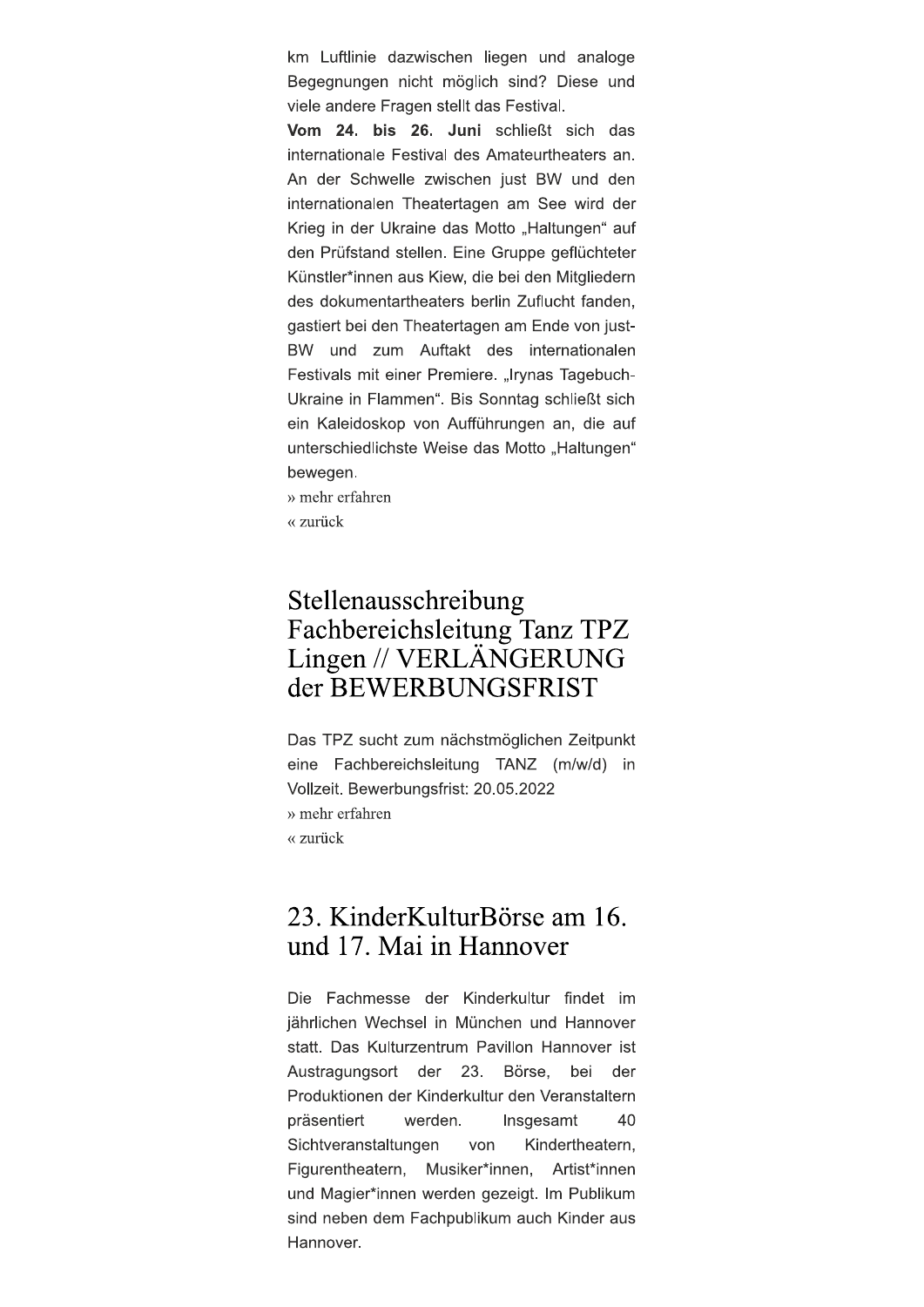km Luftlinie dazwischen liegen und analoge Begegnungen nicht möglich sind? Diese und viele andere Fragen stellt das Festival.

Vom 24. bis 26. Juni schließt sich das internationale Festival des Amateurtheaters an. An der Schwelle zwischen just BW und den internationalen Theatertagen am See wird der Krieg in der Ukraine das Motto "Haltungen" auf den Prüfstand stellen. Eine Gruppe geflüchteter Künstler\*innen aus Kiew, die bei den Mitgliedern des dokumentartheaters berlin Zuflucht fanden, gastiert bei den Theatertagen am Ende von just-BW und zum Auftakt des internationalen Festivals mit einer Premiere. "Irynas Tagebuch-Ukraine in Flammen". Bis Sonntag schließt sich ein Kaleidoskop von Aufführungen an, die auf unterschiedlichste Weise das Motto "Haltungen" bewegen.

» mehr erfahren

« zurück

### Stellenausschreibung Fachbereichsleitung Tanz TPZ Lingen // VERLÄNGERUNG der BEWERBUNGSFRIST

Das TPZ sucht zum nächstmöglichen Zeitpunkt eine Fachbereichsleitung TANZ (m/w/d) in Vollzeit. Bewerbungsfrist: 20.05.2022 » mehr erfahren « zurück

### 23. KinderKulturBörse am 16. und 17. Mai in Hannover

Die Fachmesse der Kinderkultur findet im jährlichen Wechsel in München und Hannover statt. Das Kulturzentrum Pavillon Hannover ist 23. Austragungsort der Börse, bei der Produktionen der Kinderkultur den Veranstaltern präsentiert 40 werden. Insgesamt Sichtveranstaltungen von Kindertheatern. Figurentheatern, Musiker\*innen, Artist\*innen und Magier\*innen werden gezeigt. Im Publikum sind neben dem Fachpublikum auch Kinder aus Hannover.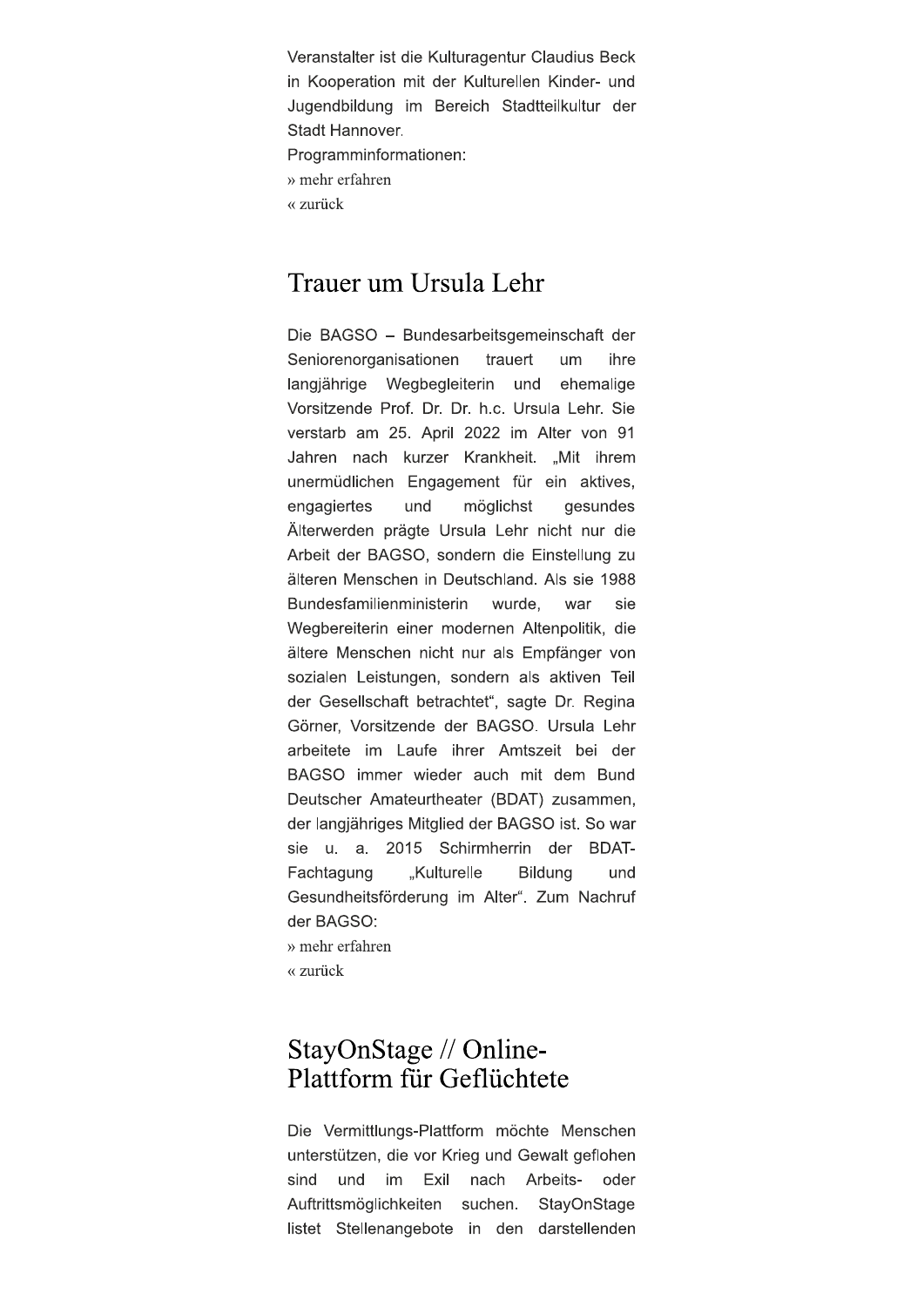Veranstalter ist die Kulturagentur Claudius Beck in Kooperation mit der Kulturellen Kinder- und Jugendbildung im Bereich Stadtteilkultur der Stadt Hannover. Programminformationen: » mehr erfahren « zurück

#### Trauer um Ursula Lehr

Die BAGSO - Bundesarbeitsgemeinschaft der Seniorenorganisationen trauert um ihre langjährige Wegbegleiterin und ehemalige Vorsitzende Prof. Dr. Dr. h.c. Ursula Lehr. Sie verstarb am 25. April 2022 im Alter von 91 Jahren nach kurzer Krankheit. "Mit ihrem unermüdlichen Engagement für ein aktives, engagiertes und möglichst gesundes Älterwerden prägte Ursula Lehr nicht nur die Arbeit der BAGSO, sondern die Einstellung zu älteren Menschen in Deutschland. Als sie 1988 Bundesfamilienministerin wurde, war sie Wegbereiterin einer modernen Altenpolitik, die ältere Menschen nicht nur als Empfänger von sozialen Leistungen, sondern als aktiven Teil der Gesellschaft betrachtet", sagte Dr. Regina Görner, Vorsitzende der BAGSO, Ursula Lehr arbeitete im Laufe ihrer Amtszeit bei der BAGSO immer wieder auch mit dem Bund Deutscher Amateurtheater (BDAT) zusammen, der langjähriges Mitglied der BAGSO ist. So war u. a. 2015 Schirmherrin der BDATsie Fachtagung "Kulturelle Bildung und Gesundheitsförderung im Alter". Zum Nachruf der BAGSO:

» mehr erfahren

« zurück

### StayOnStage // Online-Plattform für Geflüchtete

Die Vermittlungs-Plattform möchte Menschen unterstützen, die vor Krieg und Gewalt geflohen sind und im Exil nach Arbeitsoder Auftrittsmöglichkeiten suchen. StayOnStage listet Stellenangebote in den darstellenden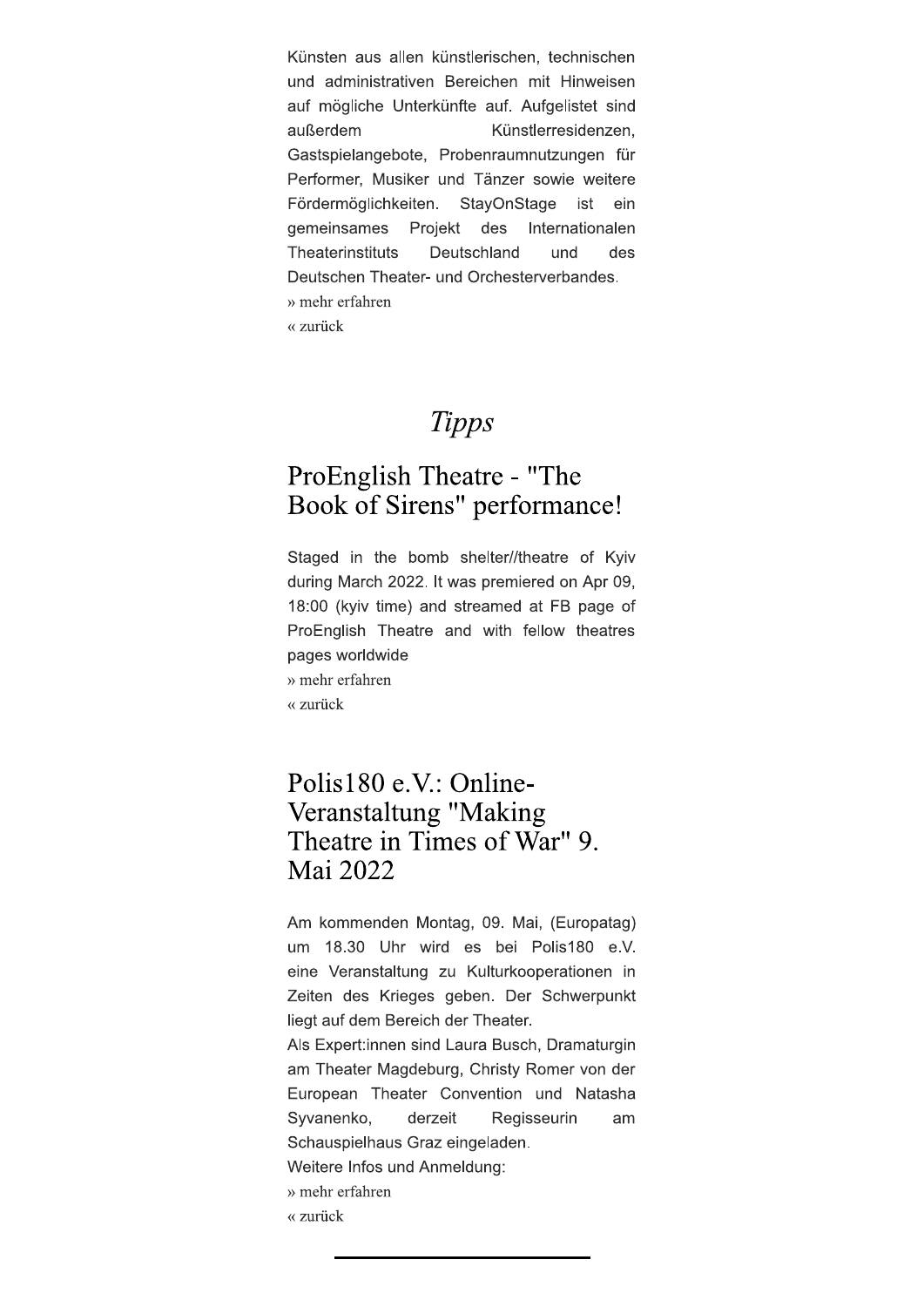Künsten aus allen künstlerischen, technischen und administrativen Bereichen mit Hinweisen auf mögliche Unterkünfte auf. Aufgelistet sind außerdem Künstlerresidenzen. Gastspielangebote, Probenraumnutzungen für Performer, Musiker und Tänzer sowie weitere Fördermöglichkeiten. StayOnStage ist ein gemeinsames des Internationalen Projekt Theaterinstituts Deutschland und des Deutschen Theater- und Orchesterverbandes. » mehr erfahren « zurück

# **Tipps**

# ProEnglish Theatre - "The Book of Sirens" performance!

Staged in the bomb shelter//theatre of Kyiv during March 2022. It was premiered on Apr 09, 18:00 (kyiv time) and streamed at FB page of ProEnglish Theatre and with fellow theatres pages worldwide » mehr erfahren

« zurück

### Polis180 e.V.: Online-Veranstaltung "Making Theatre in Times of War" 9. Mai 2022

Am kommenden Montag, 09. Mai, (Europatag) um 18.30 Uhr wird es bei Polis180 e.V. eine Veranstaltung zu Kulturkooperationen in Zeiten des Krieges geben. Der Schwerpunkt liegt auf dem Bereich der Theater.

Als Expert:innen sind Laura Busch, Dramaturgin am Theater Magdeburg, Christy Romer von der European Theater Convention und Natasha Syvanenko, derzeit Regisseurin am Schauspielhaus Graz eingeladen.

Weitere Infos und Anmeldung:

- » mehr erfahren
- « zurück